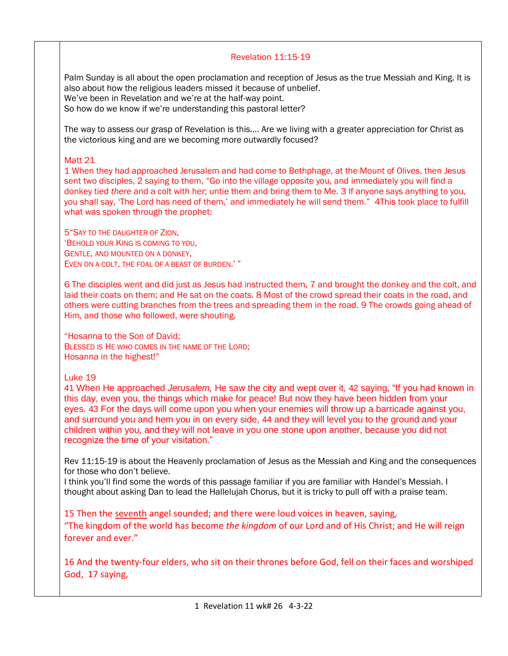## Revelation 11:15-19

Palm Sunday is all about the open proclamation and reception of Jesus as the true Messiah and King. It is also about how the religious leaders missed it because of unbelief. We've been in Revelation and we're at the half-way point.

So how do we know if we're understanding this pastoral letter?

The way to assess our grasp of Revelation is this…. Are we living with a greater appreciation for Christ as the victorious king and are we becoming more outwardly focused?

## Matt 21

1 When they had approached Jerusalem and had come to Bethphage, at the Mount of Olives, then Jesus sent two disciples, 2 saying to them, "Go into the village opposite you, and immediately you will find a donkey tied *there* and a colt with her; untie them and bring them to Me. 3 If anyone says anything to you, you shall say, 'The Lord has need of them,' and immediately he will send them." 4This took place to fulfill what was spoken through the prophet:

5"SAY TO THE DAUGHTER OF ZION, 'BEHOLD YOUR KING IS COMING TO YOU, GENTLE, AND MOUNTED ON A DONKEY, EVEN ON A COLT, THE FOAL OF A BEAST OF BURDEN.' "

6 The disciples went and did just as Jesus had instructed them, 7 and brought the donkey and the colt, and laid their coats on them; and He sat on the coats. 8 Most of the crowd spread their coats in the road, and others were cutting branches from the trees and spreading them in the road. 9 The crowds going ahead of Him, and those who followed, were shouting,

"Hosanna to the Son of David; BLESSED IS HE WHO COMES IN THE NAME OF THE LORD; Hosanna in the highest!"

Luke 19

41 When He approached *Jerusalem,* He saw the city and wept over it, 42 saying, "If you had known in this day, even you, the things which make for peace! But now they have been hidden from your eyes. 43 For the days will come upon you when your enemies will throw up a barricade against you, and surround you and hem you in on every side, 44 and they will level you to the ground and your children within you, and they will not leave in you one stone upon another, because you did not recognize the time of your visitation."

Rev 11:15-19 is about the Heavenly proclamation of Jesus as the Messiah and King and the consequences for those who don't believe.

I think you'll find some the words of this passage familiar if you are familiar with Handel's Messiah. I thought about asking Dan to lead the Hallelujah Chorus, but it is tricky to pull off with a praise team.

15 Then the seventh angel sounded; and there were loud voices in heaven, saying, "The kingdom of the world has become *the kingdom* of our Lord and of His Christ; and He will reign forever and ever."

16 And the twenty-four elders, who sit on their thrones before God, fell on their faces and worshiped God, 17 saying,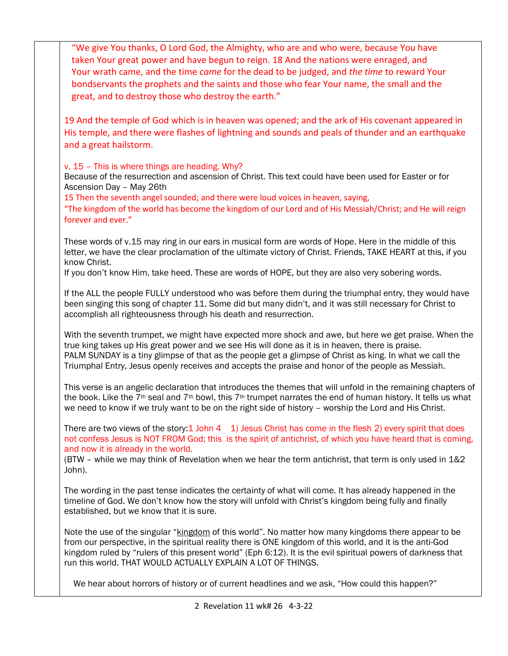| "We give You thanks, O Lord God, the Almighty, who are and who were, because You have<br>taken Your great power and have begun to reign. 18 And the nations were enraged, and<br>Your wrath came, and the time came for the dead to be judged, and the time to reward Your<br>bondservants the prophets and the saints and those who fear Your name, the small and the<br>great, and to destroy those who destroy the earth." |
|-------------------------------------------------------------------------------------------------------------------------------------------------------------------------------------------------------------------------------------------------------------------------------------------------------------------------------------------------------------------------------------------------------------------------------|
| 19 And the temple of God which is in heaven was opened; and the ark of His covenant appeared in<br>His temple, and there were flashes of lightning and sounds and peals of thunder and an earthquake<br>and a great hailstorm.                                                                                                                                                                                                |
| v. 15 - This is where things are heading. Why?<br>Because of the resurrection and ascension of Christ. This text could have been used for Easter or for<br>Ascension Day - May 26th<br>15 Then the seventh angel sounded; and there were loud voices in heaven, saying,<br>"The kingdom of the world has become the kingdom of our Lord and of His Messiah/Christ; and He will reign                                          |
| forever and ever."<br>These words of v.15 may ring in our ears in musical form are words of Hope. Here in the middle of this<br>letter, we have the clear proclamation of the ultimate victory of Christ. Friends, TAKE HEART at this, if you<br>know Christ.<br>If you don't know Him, take heed. These are words of HOPE, but they are also very sobering words.                                                            |
| If the ALL the people FULLY understood who was before them during the triumphal entry, they would have<br>been singing this song of chapter 11. Some did but many didn't, and it was still necessary for Christ to<br>accomplish all righteousness through his death and resurrection.                                                                                                                                        |
| With the seventh trumpet, we might have expected more shock and awe, but here we get praise. When the<br>true king takes up His great power and we see His will done as it is in heaven, there is praise.<br>PALM SUNDAY is a tiny glimpse of that as the people get a glimpse of Christ as king. In what we call the<br>Triumphal Entry, Jesus openly receives and accepts the praise and honor of the people as Messiah.    |
| This verse is an angelic declaration that introduces the themes that will unfold in the remaining chapters of<br>the book. Like the 7 <sup>th</sup> seal and 7 <sup>th</sup> bowl, this 7 <sup>th</sup> trumpet narrates the end of human history. It tells us what<br>we need to know if we truly want to be on the right side of history - worship the Lord and His Christ.                                                 |
| There are two views of the story: $1$ John $4$ 1) Jesus Christ has come in the flesh 2) every spirit that does<br>not confess Jesus is NOT FROM God; this is the spirit of antichrist, of which you have heard that is coming,<br>and now it is already in the world.<br>(BTW - while we may think of Revelation when we hear the term antichrist, that term is only used in 1&2<br>John).                                    |
| The wording in the past tense indicates the certainty of what will come. It has already happened in the<br>timeline of God. We don't know how the story will unfold with Christ's kingdom being fully and finally<br>established, but we know that it is sure.                                                                                                                                                                |
| Note the use of the singular "kingdom of this world". No matter how many kingdoms there appear to be<br>from our perspective, in the spiritual reality there is ONE kingdom of this world, and it is the anti-God<br>kingdom ruled by "rulers of this present world" (Eph 6:12). It is the evil spiritual powers of darkness that<br>run this world. THAT WOULD ACTUALLY EXPLAIN A LOT OF THINGS.                             |
| We hear about horrors of history or of current headlines and we ask, "How could this happen?"                                                                                                                                                                                                                                                                                                                                 |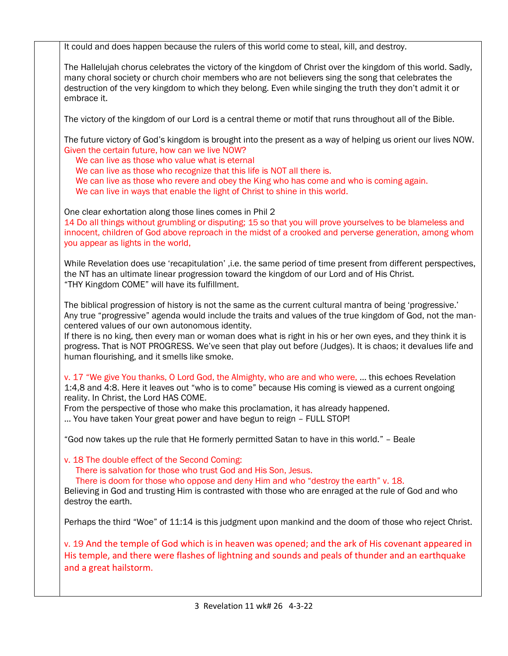It could and does happen because the rulers of this world come to steal, kill, and destroy.

The Hallelujah chorus celebrates the victory of the kingdom of Christ over the kingdom of this world. Sadly, many choral society or church choir members who are not believers sing the song that celebrates the destruction of the very kingdom to which they belong. Even while singing the truth they don't admit it or embrace it.

The victory of the kingdom of our Lord is a central theme or motif that runs throughout all of the Bible.

The future victory of God's kingdom is brought into the present as a way of helping us orient our lives NOW. Given the certain future, how can we live NOW?

 We can live as those who value what is eternal We can live as those who recognize that this life is NOT all there is. We can live as those who revere and obey the King who has come and who is coming again. We can live in ways that enable the light of Christ to shine in this world.

One clear exhortation along those lines comes in Phil 2

14 Do all things without grumbling or disputing; 15 so that you will prove yourselves to be blameless and innocent, children of God above reproach in the midst of a crooked and perverse generation, among whom you appear as lights in the world,

While Revelation does use 'recapitulation' ,i.e. the same period of time present from different perspectives, the NT has an ultimate linear progression toward the kingdom of our Lord and of His Christ. "THY Kingdom COME" will have its fulfillment.

The biblical progression of history is not the same as the current cultural mantra of being 'progressive.' Any true "progressive" agenda would include the traits and values of the true kingdom of God, not the mancentered values of our own autonomous identity.

If there is no king, then every man or woman does what is right in his or her own eyes, and they think it is progress. That is NOT PROGRESS. We've seen that play out before (Judges). It is chaos; it devalues life and human flourishing, and it smells like smoke.

v. 17 "We give You thanks, O Lord God, the Almighty, who are and who were, … this echoes Revelation 1:4,8 and 4:8. Here it leaves out "who is to come" because His coming is viewed as a current ongoing reality. In Christ, the Lord HAS COME.

From the perspective of those who make this proclamation, it has already happened.

… You have taken Your great power and have begun to reign – FULL STOP!

"God now takes up the rule that He formerly permitted Satan to have in this world." – Beale

v. 18 The double effect of the Second Coming:

There is salvation for those who trust God and His Son, Jesus.

There is doom for those who oppose and deny Him and who "destroy the earth" v. 18.

Believing in God and trusting Him is contrasted with those who are enraged at the rule of God and who destroy the earth.

Perhaps the third "Woe" of 11:14 is this judgment upon mankind and the doom of those who reject Christ.

v. 19 And the temple of God which is in heaven was opened; and the ark of His covenant appeared in His temple, and there were flashes of lightning and sounds and peals of thunder and an earthquake and a great hailstorm.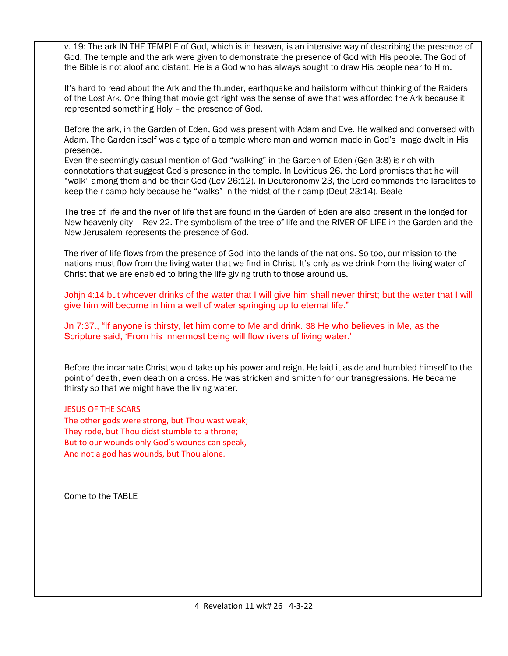v. 19: The ark IN THE TEMPLE of God, which is in heaven, is an intensive way of describing the presence of God. The temple and the ark were given to demonstrate the presence of God with His people. The God of the Bible is not aloof and distant. He is a God who has always sought to draw His people near to Him.

It's hard to read about the Ark and the thunder, earthquake and hailstorm without thinking of the Raiders of the Lost Ark. One thing that movie got right was the sense of awe that was afforded the Ark because it represented something Holy – the presence of God.

Before the ark, in the Garden of Eden, God was present with Adam and Eve. He walked and conversed with Adam. The Garden itself was a type of a temple where man and woman made in God's image dwelt in His presence.

Even the seemingly casual mention of God "walking" in the Garden of Eden (Gen 3:8) is rich with connotations that suggest God's presence in the temple. In Leviticus 26, the Lord promises that he will "walk" among them and be their God (Lev 26:12). In Deuteronomy 23, the Lord commands the Israelites to keep their camp holy because he "walks" in the midst of their camp (Deut 23:14). Beale

The tree of life and the river of life that are found in the Garden of Eden are also present in the longed for New heavenly city – Rev 22. The symbolism of the tree of life and the RIVER OF LIFE in the Garden and the New Jerusalem represents the presence of God.

The river of life flows from the presence of God into the lands of the nations. So too, our mission to the nations must flow from the living water that we find in Christ. It's only as we drink from the living water of Christ that we are enabled to bring the life giving truth to those around us.

Johjn 4:14 but whoever drinks of the water that I will give him shall never thirst; but the water that I will give him will become in him a well of water springing up to eternal life."

Jn 7:37., "If anyone is thirsty, let him come to Me and drink. 38 He who believes in Me, as the Scripture said, 'From his innermost being will flow rivers of living water.'

Before the incarnate Christ would take up his power and reign, He laid it aside and humbled himself to the point of death, even death on a cross. He was stricken and smitten for our transgressions. He became thirsty so that we might have the living water.

## JESUS OF THE SCARS

The other gods were strong, but Thou wast weak; They rode, but Thou didst stumble to a throne; But to our wounds only God's wounds can speak, And not a god has wounds, but Thou alone.

Come to the TABLE